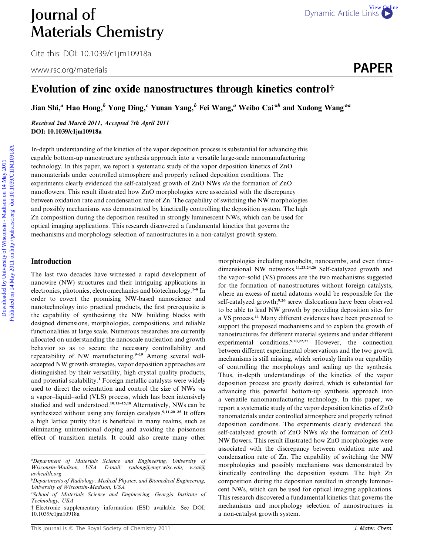# **Journal of** [Dynamic Article Links](http://dx.doi.org/10.1039/c1jm10918a) Materials Chemistry

cite the this doi:  $\frac{1}{2}$ 

www.rsc.org/materials **PAPER** 

## Evolution of zinc oxide nanostructures through kinetics control†

Jian Shi,<sup>a</sup> Hao Hong,<sup>b</sup> Yong Ding,<sup>c</sup> Yunan Yang,<sup>b</sup> Fei Wang,<sup>a</sup> Weibo Cai<sup>\*b</sup> and Xudong Wang<sup>\*a</sup>

Received 2nd March 2011, Accepted 7th April 2011 DOI: 10.1039/c1jm10918a

In-depth understanding of the kinetics of the vapor deposition process is substantial for advancing this capable bottom-up nanostructure synthesis approach into a versatile large-scale nanomanufacturing technology. In this paper, we report a systematic study of the vapor deposition kinetics of ZnO nanomaterials under controlled atmosphere and properly refined deposition conditions. The experiments clearly evidenced the self-catalyzed growth of ZnO NWs via the formation of ZnO nanoflowers. This result illustrated how ZnO morphologies were associated with the discrepancy between oxidation rate and condensation rate of Zn. The capability of switching the NW morphologies and possibly mechanisms was demonstrated by kinetically controlling the deposition system. The high Zn composition during the deposition resulted in strongly luminescent NWs, which can be used for optical imaging applications. This research discovered a fundamental kinetics that governs the mechanisms and morphology selection of nanostructures in a non-catalyst growth system. **Download of**<br> **Downloaded by University of Wisconsin - Madison of View American Consister Consister Consister Consider American Consister Consider American Consister Consider American Street Consister Consister Consister** 

#### Introduction

The last two decades have witnessed a rapid development of nanowire (NW) structures and their intriguing applications in electronics, photonics, electromechanics and biotechnology.1–8 In order to covert the promising NW-based nanoscience and nanotechnology into practical products, the first prerequisite is the capability of synthesizing the NW building blocks with designed dimensions, morphologies, compositions, and reliable functionalities at large scale. Numerous researches are currently allocated on understanding the nanoscale nucleation and growth behavior so as to secure the necessary controllability and repeatability of NW manufacturing.<sup>9-19</sup> Among several wellaccepted NW growth strategies, vapor deposition approaches are distinguished by their versatility, high crystal quality products, and potential scalability.<sup>1</sup> Foreign metallic catalysts were widely used to direct the orientation and control the size of NWs via a vapor–liquid–solid (VLS) process, which has been intensively studied and well understood.<sup>10,12–15,18</sup> Alternatively, NWs can be synthesized without using any foreign catalysts.<sup>9,11,20–25</sup> It offers a high lattice purity that is beneficial in many realms, such as eliminating unintentional doping and avoiding the poisonous effect of transition metals. It could also create many other

morphologies including nanobelts, nanocombs, and even threedimensional NW networks.11,23,24,26 Self-catalyzed growth and the vapor–solid (VS) process are the two mechanisms suggested for the formation of nanostructures without foreign catalysts, where an excess of metal adatoms would be responsible for the self-catalyzed growth;<sup>9,26</sup> screw dislocations have been observed to be able to lead NW growth by providing deposition sites for a VS process.<sup>11</sup> Many different evidences have been presented to support the proposed mechanisms and to explain the growth of nanostructures for different material systems and under different experimental conditions.9,20,22,25 However, the connection between different experimental observations and the two growth mechanisms is still missing, which seriously limits our capability of controlling the morphology and scaling up the synthesis. Thus, in-depth understandings of the kinetics of the vapor deposition process are greatly desired, which is substantial for advancing this powerful bottom-up synthesis approach into a versatile nanomanufacturing technology. In this paper, we report a systematic study of the vapor deposition kinetics of ZnO nanomaterials under controlled atmosphere and properly refined deposition conditions. The experiments clearly evidenced the self-catalyzed growth of ZnO NWs via the formation of ZnO NW flowers. This result illustrated how ZnO morphologies were associated with the discrepancy between oxidation rate and condensation rate of Zn. The capability of switching the NW morphologies and possibly mechanisms was demonstrated by kinetically controlling the deposition system. The high Zn composition during the deposition resulted in strongly luminescent NWs, which can be used for optical imaging applications. This research discovered a fundamental kinetics that governs the mechanisms and morphology selection of nanostructures in a non-catalyst growth system.

a Department of Materials Science and Engineering, University of Wisconsin-Madison, USA. E-mail: xudong@engr.wisc.edu; wcai@ uwhealth.org

<sup>&</sup>lt;sup>b</sup>Departments of Radiology, Medical Physics, and Biomedical Engineering, University of Wisconsin-Madison, USA

c School of Materials Science and Engineering, Georgia Institute of Technology, USA

<sup>†</sup> Electronic supplementary information (ESI) available. See DOI: 10.1039/c1jm10918a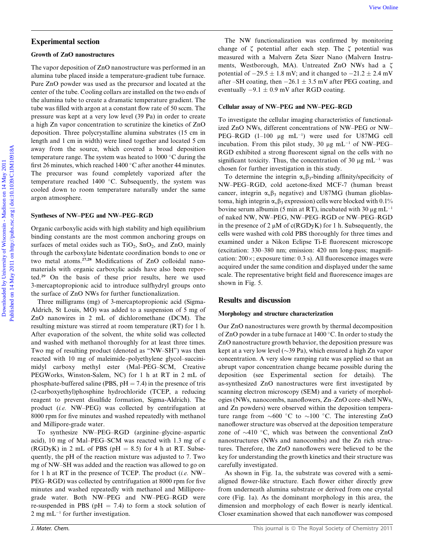#### Experimental section

#### Growth of ZnO nanostructures

The vapor deposition of ZnO nanostructure was performed in an alumina tube placed inside a temperature-gradient tube furnace. Pure ZnO powder was used as the precursor and located at the center of the tube. Cooling collars are installed on the two ends of the alumina tube to create a dramatic temperature gradient. The tube was filled with argon at a constant flow rate of 50 sccm. The pressure was kept at a very low level (39 Pa) in order to create a high Zn vapor concentration to scrutinize the kinetics of ZnO deposition. Three polycrystalline alumina substrates (15 cm in length and 1 cm in width) were lined together and located 5 cm away from the source, which covered a broad deposition temperature range. The system was heated to  $1000^{\circ}$ C during the first 26 minutes, which reached 1400  $\degree$ C after another 44 minutes. The precursor was found completely vaporized after the temperature reached 1400 °C. Subsequently, the system was cooled down to room temperature naturally under the same argon atmosphere. Experimental section<br>
The NW functionalization was confirmed by monitoring<br>
Crowth of ZaO manstractures<br>
The vapor deposition of ZaO manstractures<br>
The vapor deposition of ZaO manstractures<br>
The value of May 2011 On the M

#### Syntheses of NW–PEG and NW–PEG–RGD

Organic carboxylic acids with high stability and high equilibrium binding constants are the most common anchoring groups on surfaces of metal oxides such as  $TiO<sub>2</sub>$ ,  $SnO<sub>2</sub>$ , and  $ZnO$ , mainly through the carboxylate bidentate coordination bonds to one or two metal atoms.27,28 Modifications of ZnO colloidal nanomaterials with organic carboxylic acids have also been reported.<sup>29</sup> On the basis of these prior results, here we used 3-mercaptopropionic acid to introduce sulfhydryl groups onto the surface of ZnO NWs for further functionalization.

Three milligrams (mg) of 3-mercaptopropionic acid (Sigma-Aldrich, St Louis, MO) was added to a suspension of 5 mg of ZnO nanowires in 2 mL of dichloromethane (DCM). The resulting mixture was stirred at room temperature (RT) for 1 h. After evaporation of the solvent, the white solid was collected and washed with methanol thoroughly for at least three times. Two mg of resulting product (denoted as ''NW–SH'') was then reacted with 10 mg of maleimide–polyethylene glycol–succinimidyl carboxy methyl ester (Mal–PEG–SCM, Creative PEGWorks, Winston-Salem, NC) for 1 h at RT in 2 mL of phosphate-buffered saline (PBS,  $pH = 7.4$ ) in the presence of tris (2-carboxyethyl)phosphine hydrochloride (TCEP, a reducing reagent to prevent disulfide formation, Sigma-Aldrich). The product (i.e. NW–PEG) was collected by centrifugation at 8000 rpm for five minutes and washed repeatedly with methanol and Millipore-grade water.

To synthesize NW–PEG–RGD (arginine–glycine–aspartic acid), 10 mg of Mal–PEG–SCM was reacted with 1.3 mg of c (RGDyK) in 2 mL of PBS ( $pH = 8.5$ ) for 4 h at RT. Subsequently, the pH of the reaction mixture was adjusted to 7. Two mg of NW–SH was added and the reaction was allowed to go on for 1 h at RT in the presence of TCEP. The product  $(i.e.$  NW– PEG–RGD) was collected by centrifugation at 8000 rpm for five minutes and washed repeatedly with methanol and Milliporegrade water. Both NW–PEG and NW–PEG–RGD were re-suspended in PBS ( $pH = 7.4$ ) to form a stock solution of 2 mg m $L^{-1}$  for further investigation.

The NW functionalization was confirmed by monitoring change of  $\zeta$  potential after each step. The  $\zeta$  potential was measured with a Malvern Zeta Sizer Nano (Malvern Instruments, Westborough, MA). Untreated ZnO NWs had a ζ potential of  $-29.5 \pm 1.8$  mV; and it changed to  $-21.2 \pm 2.4$  mV after –SH coating, then  $-26.1 \pm 3.5$  mV after PEG coating, and eventually  $-9.1 \pm 0.9$  mV after RGD coating.

#### Cellular assay of NW–PEG and NW–PEG–RGD

To investigate the cellular imaging characteristics of functionalized ZnO NWs, different concentrations of NW–PEG or NW– PEG-RGD  $(1-100 \text{ µg} \text{ mL}^{-1})$  were used for U87MG cell incubation. From this pilot study, 30  $\mu$ g mL<sup>-1</sup> of NW–PEG– RGD exhibited a strong fluorescent signal on the cells with no significant toxicity. Thus, the concentration of 30  $\mu$ g mL<sup>-1</sup> was chosen for further investigation in this study.

To determine the integrin  $\alpha_{\rm v}\beta_3$ -binding affinity/specificity of NW–PEG–RGD, cold acetone-fixed MCF-7 (human breast cancer, integrin  $\alpha_{\nu}\beta_3$  negative) and U87MG (human glioblastoma, high integrin  $\alpha_{\rm v}\beta_3$  expression) cells were blocked with 0.1% bovine serum albumin (5 min at RT), incubated with 30  $\mu$ g mL<sup>-1</sup> of naked NW, NW–PEG, NW–PEG–RGD or NW–PEG–RGD in the presence of 2  $\mu$ M of c(RGDyK) for 1 h. Subsequently, the cells were washed with cold PBS thoroughly for three times and examined under a Nikon Eclipse Ti-E fluorescent microscope (excitation: 330–380 nm; emission: 420 nm long-pass; magnification:  $200 \times$ ; exposure time: 0.3 s). All fluorescence images were acquired under the same condition and displayed under the same scale. The representative bright field and fluorescence images are shown in Fig. 5.

#### Results and discussion

#### Morphology and structure characterization

Our ZnO nanostructures were growth by thermal decomposition of  $ZnO$  powder in a tube furnace at  $1400\degree C$ . In order to study the ZnO nanostructure growth behavior, the deposition pressure was kept at a very low level ( $\sim$ 39 Pa), which ensured a high Zn vapor concentration. A very slow ramping rate was applied so that an abrupt vapor concentration change became possible during the deposition (see Experimental section for details). The as-synthesized ZnO nanostructures were first investigated by scanning electron microscopy (SEM) and a variety of morphologies (NWs, nanocombs, nanoflowers, Zn–ZnO core–shell NWs, and Zn powders) were observed within the deposition temperature range from  $\sim 600$  °C to  $\sim 100$  °C. The interesting ZnO nanoflower structure was observed at the deposition temperature zone of  $\sim$ 410 °C, which was between the conventional ZnO nanostructures (NWs and nanocombs) and the Zn rich structures. Therefore, the ZnO nanoflowers were believed to be the key for understanding the growth kinetics and their structure was carefully investigated.

As shown in Fig. 1a, the substrate was covered with a semialigned flower-like structure. Each flower either directly grew from underneath alumina substrate or derived from one crystal core (Fig. 1a). As the dominant morphology in this area, the dimension and morphology of each flower is nearly identical. Closer examination showed that each nanoflower was composed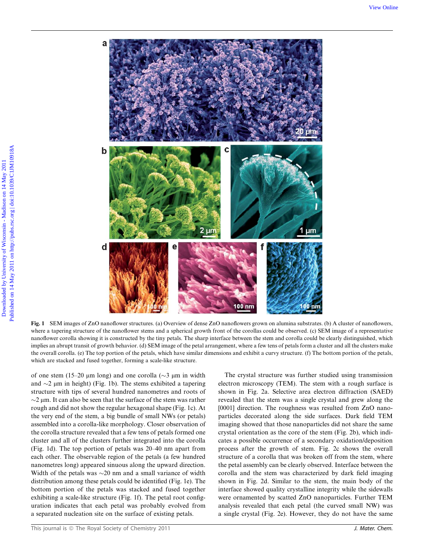

Fig. 1 SEM images of ZnO nanoflower structures. (a) Overview of dense ZnO nanoflowers grown on alumina substrates. (b) A cluster of nanoflowers, where a tapering structure of the nanoflower stems and a spherical growth front of the corollas could be observed. (c) SEM image of a representative nanoflower corolla showing it is constructed by the tiny petals. The sharp interface between the stem and corolla could be clearly distinguished, which implies an abrupt transit of growth behavior. (d) SEM image of the petal arrangement, where a few tens of petals form a cluster and all the clusters make the overall corolla. (e) The top portion of the petals, which have similar dimensions and exhibit a curvy structure. (f) The bottom portion of the petals, which are stacked and fused together, forming a scale-like structure.

of one stem (15–20  $\mu$ m long) and one corolla ( $\sim$ 3  $\mu$ m in width and  $\sim$ 2 µm in height) (Fig. 1b). The stems exhibited a tapering structure with tips of several hundred nanometres and roots of  $\sim$ 2  $\mu$ m. It can also be seen that the surface of the stem was rather rough and did not show the regular hexagonal shape (Fig. 1c). At the very end of the stem, a big bundle of small NWs (or petals) assembled into a corolla-like morphology. Closer observation of the corolla structure revealed that a few tens of petals formed one cluster and all of the clusters further integrated into the corolla (Fig. 1d). The top portion of petals was 20–40 nm apart from each other. The observable region of the petals (a few hundred nanometres long) appeared sinuous along the upward direction. Width of the petals was  $\sim$ 20 nm and a small variance of width distribution among these petals could be identified (Fig. 1e). The bottom portion of the petals was stacked and fused together exhibiting a scale-like structure (Fig. 1f). The petal root configuration indicates that each petal was probably evolved from a separated nucleation site on the surface of existing petals.

The crystal structure was further studied using transmission electron microscopy (TEM). The stem with a rough surface is shown in Fig. 2a. Selective area electron diffraction (SAED) revealed that the stem was a single crystal and grew along the [0001] direction. The roughness was resulted from ZnO nanoparticles decorated along the side surfaces. Dark field TEM imaging showed that those nanoparticles did not share the same crystal orientation as the core of the stem (Fig. 2b), which indicates a possible occurrence of a secondary oxidation/deposition process after the growth of stem. Fig. 2c shows the overall structure of a corolla that was broken off from the stem, where the petal assembly can be clearly observed. Interface between the corolla and the stem was characterized by dark field imaging shown in Fig. 2d. Similar to the stem, the main body of the interface showed quality crystalline integrity while the sidewalls were ornamented by scatted ZnO nanoparticles. Further TEM analysis revealed that each petal (the curved small NW) was a single crystal (Fig. 2e). However, they do not have the same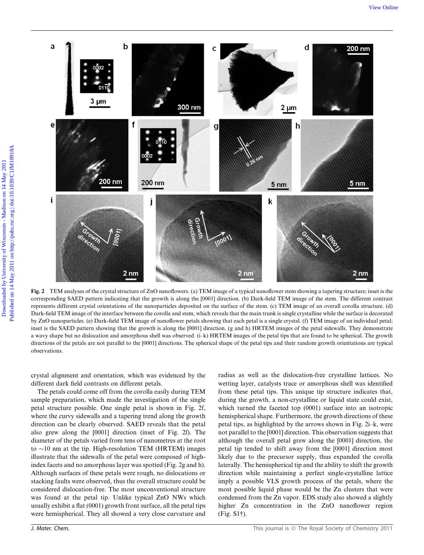

Fig. 2 TEM analyses of the crystal structure of ZnO nanoflowers. (a) TEM image of a typical nanoflower stem showing a tapering structure; inset is the corresponding SAED pattern indicating that the growth is along the [0001] direction. (b) Dark-field TEM image of the stem. The different contrast represents different crystal orientations of the nanoparticles deposited on the surface of the stem. (c) TEM image of an overall corolla structure. (d) Dark-field TEM image of the interface between the corolla and stem, which reveals that the main trunk is single crystalline while the surface is decorated by ZnO nanoparticles. (e) Dark-field TEM image of nanoflower petals showing that each petal is a single crystal. (f) TEM image of an individual petal; inset is the SAED pattern showing that the growth is along the [0001] direction. (g and h) HRTEM images of the petal sidewalls. They demonstrate a wavy shape but no dislocation and amorphous shell was observed. (i–k) HRTEM images of the petal tips that are found to be spherical. The growth directions of the petals are not parallel to the [0001] directions. The spherical shape of the petal tips and their random growth orientations are typical observations.

crystal alignment and orientation, which was evidenced by the different dark field contrasts on different petals.

The petals could come off from the corolla easily during TEM sample preparation, which made the investigation of the single petal structure possible. One single petal is shown in Fig. 2f, where the curvy sidewalls and a tapering trend along the growth direction can be clearly observed. SAED reveals that the petal also grew along the [0001] direction (inset of Fig. 2f). The diameter of the petals varied from tens of nanometres at the root to  $\sim$ 10 nm at the tip. High-resolution TEM (HRTEM) images illustrate that the sidewalls of the petal were composed of highindex facets and no amorphous layer was spotted (Fig. 2g and h). Although surfaces of these petals were rough, no dislocations or stacking faults were observed, thus the overall structure could be considered dislocation-free. The most unconventional structure was found at the petal tip. Unlike typical ZnO NWs which usually exhibit a flat (0001) growth front surface, all the petal tips were hemispherical. They all showed a very close curvature and

radius as well as the dislocation-free crystalline lattices. No wetting layer, catalysts trace or amorphous shell was identified from these petal tips. This unique tip structure indicates that, during the growth, a non-crystalline or liquid state could exist, which turned the faceted top (0001) surface into an isotropic hemispherical shape. Furthermore, the growth directions of these petal tips, as highlighted by the arrows shown in Fig. 2i–k, were not parallel to the [0001] direction. This observation suggests that although the overall petal grew along the [0001] direction, the petal tip tended to shift away from the [0001] direction most likely due to the precursor supply, thus expanded the corolla laterally. The hemispherical tip and the ability to shift the growth direction while maintaining a perfect single-crystalline lattice imply a possible VLS growth process of the petals, where the most possible liquid phase would be the Zn clusters that were condensed from the Zn vapor. EDS study also showed a slightly higher Zn concentration in the ZnO nanoflower region (Fig. S1†).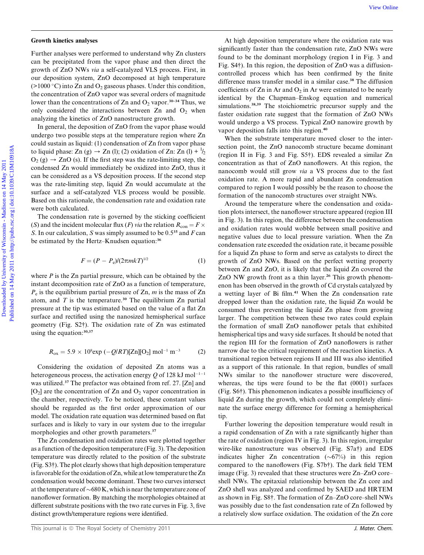#### Growth kinetics analyses

Further analyses were performed to understand why Zn clusters can be precipitated from the vapor phase and then direct the growth of ZnO NWs via a self-catalyzed VLS process. First, in our deposition system, ZnO decomposed at high temperature ( $>1000$  °C) into Zn and O<sub>2</sub> gaseous phases. Under this condition, the concentration of ZnO vapor was several orders of magnitude lower than the concentrations of Zn and  $O_2$  vapor.<sup>30-34</sup> Thus, we only considered the interactions between  $Zn$  and  $O<sub>2</sub>$  when analyzing the kinetics of ZnO nanostructure growth.

In general, the deposition of ZnO from the vapor phase would undergo two possible steps at the temperature region where Zn could sustain as liquid: (1) condensation of Zn from vapor phase to liquid phase: Zn (g)  $\rightarrow$  Zn (l); (2) oxidation of Zn: Zn (l) +  $\frac{1}{2}$  $O_2$  (g)  $\rightarrow$  ZnO (s). If the first step was the rate-limiting step, the condensed Zn would immediately be oxidized into ZnO, thus it can be considered as a VS deposition process. If the second step was the rate-limiting step, liquid Zn would accumulate at the surface and a self-catalyzed VLS process would be possible. Based on this rationale, the condensation rate and oxidation rate were both calculated.

The condensation rate is governed by the sticking coefficient (S) and the incident molecular flux (F) via the relation  $R_{con} = F \times$ S. In our calculation, S was simply assumed to be  $0.5^{35}$  and F can be estimated by the Hertz–Knudsen equation:<sup>36</sup>

$$
F = (P - P_e)/(2\pi mkT)^{1/2}
$$
 (1)

where  $P$  is the  $Zn$  partial pressure, which can be obtained by the instant decomposition rate of ZnO as a function of temperature,  $P_e$  is the equilibrium partial pressure of Zn, m is the mass of Zn atom, and  $T$  is the temperature.<sup>30</sup> The equilibrium Zn partial pressure at the tip was estimated based on the value of a flat Zn surface and rectified using the nanosized hemispherical surface geometry (Fig. S2†). The oxidation rate of Zn was estimated using the equation: 30,37

$$
R_{\rm ox} = 5.9 \times 10^8 \exp(-Q/RT)[\text{Zn}][\text{O}_2] \text{ mol}^{-1} \text{ m}^{-3}
$$
 (2)

Considering the oxidation of deposited Zn atoms was a heterogeneous process, the activation energy Q of 128 kJ mol<sup>-1-1</sup> was utilized.<sup>37</sup> The prefactor was obtained from ref. 27. [Zn] and  $[O_2]$  are the concentration of Zn and  $O_2$  vapor concentration in the chamber, respectively. To be noticed, these constant values should be regarded as the first order approximation of our model. The oxidation rate equation was determined based on flat surfaces and is likely to vary in our system due to the irregular morphologies and other growth parameters.<sup>37</sup>

The Zn condensation and oxidation rates were plotted together as a function of the deposition temperature (Fig. 3). The deposition temperature was directly related to the position of the substrate (Fig. S3†). The plot clearly shows that high deposition temperature is favorable for the oxidation of Zn, while at low temperature the Zn condensation would become dominant. These two curves intersect at the temperature of  $\sim680$  K, which is near the temperature zone of nanoflower formation. By matching the morphologies obtained at different substrate positions with the two rate curves in Fig. 3, five distinct growth/temperature regions were identified.

At high deposition temperature where the oxidation rate was significantly faster than the condensation rate, ZnO NWs were found to be the dominant morphology (region I in Fig. 3 and Fig. S4†). In this region, the deposition of ZnO was a diffusioncontrolled process which has been confirmed by the finite difference mass transfer model in a similar case.<sup>38</sup> The diffusion coefficients of  $Zn$  in Ar and  $O<sub>2</sub>$  in Ar were estimated to be nearly identical by the Chapman–Enskog equation and numerical simulations.<sup>38,39</sup> The stoichiometric precursor supply and the faster oxidation rate suggest that the formation of ZnO NWs would undergo a VS process. Typical ZnO nanowire growth by vapor deposition falls into this region.<sup>40</sup>

When the substrate temperature moved closer to the intersection point, the ZnO nanocomb structure became dominant (region II in Fig. 3 and Fig. S5†). EDS revealed a similar Zn concentration as that of ZnO nanoflowers. At this region, the nanocomb would still grow via a VS process due to the fast oxidation rate. A more rapid and abundant Zn condensation compared to region I would possibly be the reason to choose the formation of the nanocomb structures over straight NWs.

Around the temperature where the condensation and oxidation plots intersect, the nanoflower structure appeared (region III in Fig. 3). In this region, the difference between the condensation and oxidation rates would wobble between small positive and negative values due to local pressure variation. When the Zn condensation rate exceeded the oxidation rate, it became possible for a liquid Zn phase to form and serve as catalysts to direct the growth of ZnO NWs. Based on the perfect wetting property between Zn and ZnO, it is likely that the liquid Zn covered the ZnO NW growth front as a thin layer.<sup>26</sup> This growth phenomenon has been observed in the growth of Cd crystals catalyzed by a wetting layer of Bi film.<sup>41</sup> When the Zn condensation rate dropped lower than the oxidation rate, the liquid Zn would be consumed thus preventing the liquid Zn phase from growing larger. The competition between these two rates could explain the formation of small ZnO nanoflower petals that exhibited hemispherical tips and wavy side surfaces. It should be noted that the region III for the formation of ZnO nanoflowers is rather narrow due to the critical requirement of the reaction kinetics. A transitional region between regions II and III was also identified as a support of this rationale. In that region, bundles of small NWs similar to the nanoflower structure were discovered, whereas, the tips were found to be the flat (0001) surfaces (Fig. S6†). This phenomenon indicates a possible insufficiency of liquid Zn during the growth, which could not completely eliminate the surface energy difference for forming a hemispherical tip. Crowth invities analyses<br>
Further analyses were performed to understand why Zn chancas focus that there then the consistent on 14 May 2012 ON Now were the consistent on the properties of May 2012 ON No. 2012 ONLine and th

> Further lowering the deposition temperature would result in a rapid condensation of Zn with a rate significantly higher than the rate of oxidation (region IV in Fig. 3). In this region, irregular wire-like nanostructure was observed (Fig. S7a†) and EDS indicates higher Zn concentration  $(\sim 67\%)$  in this region compared to the nanoflowers (Fig. S7b†). The dark field TEM image (Fig. 3) revealed that these structures were Zn–ZnO core– shell NWs. The epitaxial relationship between the Zn core and ZnO shell was analyzed and confirmed by SAED and HRTEM as shown in Fig. S8†. The formation of Zn–ZnO core–shell NWs was possibly due to the fast condensation rate of Zn followed by a relatively slow surface oxidation. The oxidation of the Zn core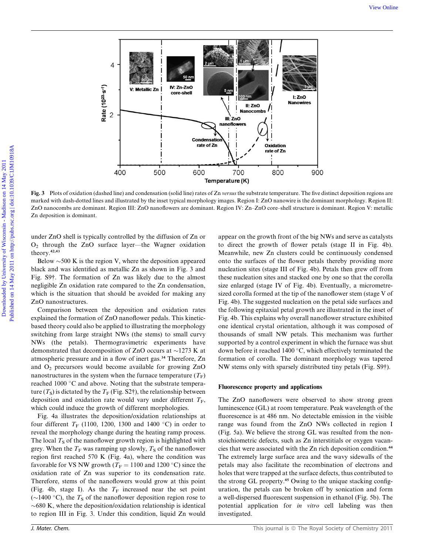

Fig. 3 Plots of oxidation (dashed line) and condensation (solid line) rates of Zn versus the substrate temperature. The five distinct deposition regions are marked with dash-dotted lines and illustrated by the inset typical morphology images. Region I: ZnO nanowire is the dominant morphology. Region II: ZnO nanocombs are dominant. Region III: ZnO nanoflowers are dominant. Region IV: Zn–ZnO core–shell structure is dominant. Region V: metallic Zn deposition is dominant.

under ZnO shell is typically controlled by the diffusion of Zn or O2 through the ZnO surface layer—the Wagner oxidation theory.42,43

Below  $\sim$  500 K is the region V, where the deposition appeared black and was identified as metallic Zn as shown in Fig. 3 and Fig. S9†. The formation of Zn was likely due to the almost negligible Zn oxidation rate compared to the Zn condensation, which is the situation that should be avoided for making any ZnO nanostructures.

Comparison between the deposition and oxidation rates explained the formation of ZnO nanoflower pedals. This kineticbased theory could also be applied to illustrating the morphology switching from large straight NWs (the stems) to small curvy NWs (the petals). Thermogravimetric experiments have demonstrated that decomposition of ZnO occurs at  $\sim$ 1273 K at atmospheric pressure and in a flow of inert gas.<sup>34</sup> Therefore, Zn and  $O_2$  precursors would become available for growing  $ZnO$ nanostructures in the system when the furnace temperature  $(T_F)$ reached  $1000 \degree C$  and above. Noting that the substrate temperature  $(T<sub>S</sub>)$  is dictated by the  $T<sub>F</sub>$  (Fig. S2†), the relationship between deposition and oxidation rate would vary under different  $T_F$ , which could induce the growth of different morphologies.

Fig. 4a illustrates the deposition/oxidation relationships at four different  $T_F$  (1100, 1200, 1300 and 1400 °C) in order to reveal the morphology change during the heating ramp process. The local  $T<sub>S</sub>$  of the nanoflower growth region is highlighted with grey. When the  $T_F$  was ramping up slowly,  $T_S$  of the nanoflower region first reached 570 K (Fig. 4a), where the condition was favorable for VS NW growth ( $T_F = 1100$  and 1200 °C) since the oxidation rate of Zn was superior to its condensation rate. Therefore, stems of the nanoflowers would grow at this point (Fig. 4b, stage I). As the  $T_F$  increased near the set point ( $\sim$ 1400 °C), the  $T<sub>S</sub>$  of the nanoflower deposition region rose to  $\sim$  680 K, where the deposition/oxidation relationship is identical to region III in Fig. 3. Under this condition, liquid Zn would

appear on the growth front of the big NWs and serve as catalysts to direct the growth of flower petals (stage II in Fig. 4b). Meanwhile, new Zn clusters could be continuously condensed onto the surfaces of the flower petals thereby providing more nucleation sites (stage III of Fig. 4b). Petals then grew off from these nucleation sites and stacked one by one so that the corolla size enlarged (stage IV of Fig. 4b). Eventually, a micrometresized corolla formed at the tip of the nanoflower stem (stage V of Fig. 4b). The suggested nucleation on the petal side surfaces and the following epitaxial petal growth are illustrated in the inset of Fig. 4b. This explains why overall nanoflower structure exhibited one identical crystal orientation, although it was composed of thousands of small NW petals. This mechanism was further supported by a control experiment in which the furnace was shut down before it reached 1400 °C, which effectively terminated the formation of corolla. The dominant morphology was tapered NW stems only with sparsely distributed tiny petals (Fig. S9†).

#### Fluorescence property and applications

The ZnO nanoflowers were observed to show strong green luminescence (GL) at room temperature. Peak wavelength of the fluorescence is at 486 nm. No detectable emission in the visible range was found from the ZnO NWs collected in region I (Fig. 5a). We believe the strong GL was resulted from the nonstoichiometric defects, such as Zn interstitials or oxygen vacancies that were associated with the Zn rich deposition condition.<sup>44</sup> The extremely large surface area and the wavy sidewalls of the petals may also facilitate the recombination of electrons and holes that were trapped at the surface defects, thus contributed to the strong GL property.<sup>45</sup> Owing to the unique stacking configuration, the petals can be broken off by sonication and form a well-dispersed fluorescent suspension in ethanol (Fig. 5b). The potential application for in vitro cell labeling was then investigated.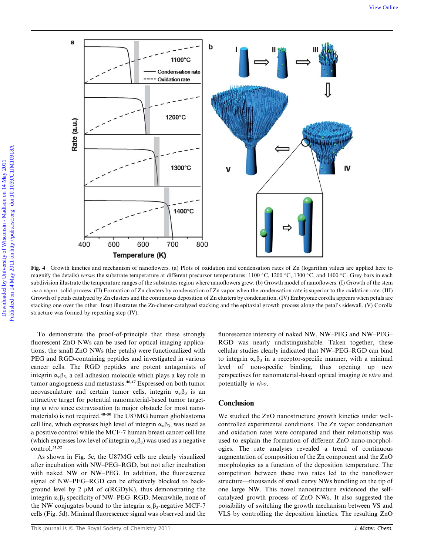

Fig. 4 Growth kinetics and mechanism of nanoflowers. (a) Plots of oxidation and condensation rates of Zn (logarithm values are applied here to magnify the details) versus the substrate temperature at different precursor temperatures: 1100 °C, 1200 °C, 1300 °C, and 1400 °C. Grey bars in each subdivision illustrate the temperature ranges of the substrates region where nanoflowers grew. (b) Growth model of nanoflowers. (I) Growth of the stem via a vapor–solid process. (II) Formation of Zn clusters by condensation of Zn vapor when the condensation rate is superior to the oxidation rate. (III) Growth of petals catalyzed by Zn clusters and the continuous deposition of Zn clusters by condensation. (IV) Embryonic corolla appears when petals are stacking one over the other. Inset illustrates the Zn-cluster-catalyzed stacking and the epitaxial growth process along the petal's sidewall. (V) Corolla structure was formed by repeating step (IV).

To demonstrate the proof-of-principle that these strongly fluorescent ZnO NWs can be used for optical imaging applications, the small ZnO NWs (the petals) were functionalized with PEG and RGD-containing peptides and investigated in various cancer cells. The RGD peptides are potent antagonists of integrin  $\alpha_{\nu} \beta_3$ , a cell adhesion molecule which plays a key role in tumor angiogenesis and metastasis.<sup>46,47</sup> Expressed on both tumor neovasculature and certain tumor cells, integrin  $\alpha_{\rm v}\beta_3$  is an attractive target for potential nanomaterial-based tumor targeting in vivo since extravasation (a major obstacle for most nanomaterials) is not required.48–50 The U87MG human glioblastoma cell line, which expresses high level of integrin  $\alpha_{\rm v}\beta_3$ , was used as a positive control while the MCF-7 human breast cancer cell line (which expresses low level of integrin  $\alpha_{\rm v}\beta_3$ ) was used as a negative control.<sup>51,52</sup>

As shown in Fig. 5c, the U87MG cells are clearly visualized after incubation with NW–PEG–RGD, but not after incubation with naked NW or NW–PEG. In addition, the fluorescence signal of NW–PEG–RGD can be effectively blocked to background level by 2  $\mu$ M of c(RGDyK), thus demonstrating the integrin  $\alpha_{\rm v}\beta_3$  specificity of NW–PEG–RGD. Meanwhile, none of the NW conjugates bound to the integrin  $\alpha_{v} \beta_{3}$ -negative MCF-7 cells (Fig. 5d). Minimal fluorescence signal was observed and the

fluorescence intensity of naked NW, NW–PEG and NW–PEG– RGD was nearly undistinguishable. Taken together, these cellular studies clearly indicated that NW–PEG–RGD can bind to integrin  $\alpha_{\nu}\beta_3$  in a receptor-specific manner, with a minimal level of non-specific binding, thus opening up new perspectives for nanomaterial-based optical imaging in vitro and potentially in vivo.

#### Conclusion

We studied the ZnO nanostructure growth kinetics under wellcontrolled experimental conditions. The Zn vapor condensation and oxidation rates were compared and their relationship was used to explain the formation of different ZnO nano-morphologies. The rate analyses revealed a trend of continuous augmentation of composition of the Zn component and the ZnO morphologies as a function of the deposition temperature. The competition between these two rates led to the nanoflower structure—thousands of small curvy NWs bundling on the tip of one large NW. This novel nanostructure evidenced the selfcatalyzed growth process of ZnO NWs. It also suggested the possibility of switching the growth mechanism between VS and VLS by controlling the deposition kinetics. The resulting ZnO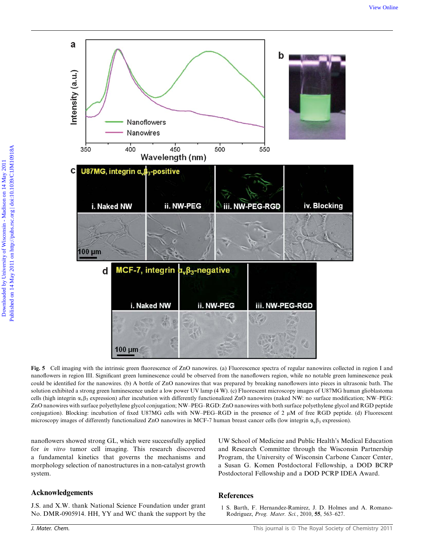

Fig. 5 Cell imaging with the intrinsic green fluorescence of ZnO nanowires. (a) Fluorescence spectra of regular nanowires collected in region I and nanoflowers in region III. Significant green luminescence could be observed from the nanoflowers region, while no notable green luminescence peak could be identified for the nanowires. (b) A bottle of ZnO nanowires that was prepared by breaking nanoflowers into pieces in ultrasonic bath. The solution exhibited a strong green luminescence under a low power UV lamp (4 W). (c) Fluorescent microscopy images of U87MG human glioblastoma cells (high integrin  $\alpha_v\beta_3$  expression) after incubation with differently functionalized ZnO nanowires (naked NW: no surface modification; NW–PEG: ZnO nanowires with surface polyethylene glycol conjugation; NW–PEG–RGD: ZnO nanowires with both surface polyethylene glycol and RGD peptide conjugation). Blocking: incubation of fixed U87MG cells with NW–PEG–RGD in the presence of 2 µM of free RGD peptide. (d) Fluorescent microscopy images of differently functionalized ZnO nanowires in MCF-7 human breast cancer cells (low integrin  $\alpha_v \beta_3$  expression).

nanoflowers showed strong GL, which were successfully applied for in vitro tumor cell imaging. This research discovered a fundamental kinetics that governs the mechanisms and morphology selection of nanostructures in a non-catalyst growth system.

### Acknowledgements

J.S. and X.W. thank National Science Foundation under grant No. DMR-0905914. HH, YY and WC thank the support by the

UW School of Medicine and Public Health's Medical Education and Research Committee through the Wisconsin Partnership Program, the University of Wisconsin Carbone Cancer Center, a Susan G. Komen Postdoctoral Fellowship, a DOD BCRP Postdoctoral Fellowship and a DOD PCRP IDEA Award.

#### References

1 S. Barth, F. Hernandez-Ramirez, J. D. Holmes and A. Romano-Rodriguez, Prog. Mater. Sci., 2010, 55, 563–627.